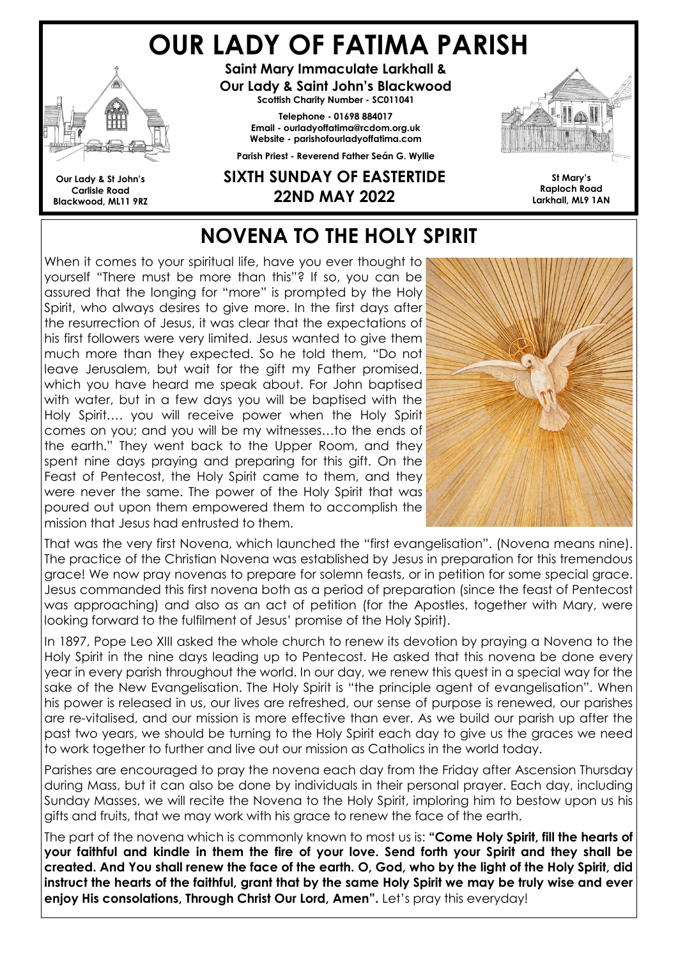# OUR LADY OF FATIMA PARISH



Our Lady & St John's Carlisle Road Blackwood, ML11 9RZ

Saint Mary Immaculate Larkhall & Our Lady & Saint John's Blackwood Scottish Charity Number - SC011041

> Telephone - 01698 884017 Email - ourladyoffatima@rcdom.org.uk Website - parishofourladyoffatima.com

Parish Priest - Reverend Father Seán G. Wyllie

#### SIXTH SUNDAY OF EASTERTIDE 22ND MAY 2022



St Mary's Raploch Road Larkhall, ML9 1AN

# NOVENA TO THE HOLY SPIRIT

When it comes to your spiritual life, have you ever thought to yourself "There must be more than this"? If so, you can be assured that the longing for "more" is prompted by the Holy Spirit, who always desires to give more. In the first days after the resurrection of Jesus, it was clear that the expectations of his first followers were very limited. Jesus wanted to give them much more than they expected. So he told them, "Do not leave Jerusalem, but wait for the gift my Father promised, which you have heard me speak about. For John baptised with water, but in a few days you will be baptised with the Holy Spirit…. you will receive power when the Holy Spirit comes on you; and you will be my witnesses…to the ends of the earth." They went back to the Upper Room, and they spent nine days praying and preparing for this gift. On the Feast of Pentecost, the Holy Spirit came to them, and they were never the same. The power of the Holy Spirit that was poured out upon them empowered them to accomplish the mission that Jesus had entrusted to them.



That was the very first Novena, which launched the "first evangelisation". (Novena means nine). The practice of the Christian Novena was established by Jesus in preparation for this tremendous grace! We now pray novenas to prepare for solemn feasts, or in petition for some special grace. Jesus commanded this first novena both as a period of preparation (since the feast of Pentecost was approaching) and also as an act of petition (for the Apostles, together with Mary, were looking forward to the fulfilment of Jesus' promise of the Holy Spirit).

In 1897, Pope Leo XIII asked the whole church to renew its devotion by praying a Novena to the Holy Spirit in the nine days leading up to Pentecost. He asked that this novena be done every year in every parish throughout the world. In our day, we renew this quest in a special way for the sake of the New Evangelisation. The Holy Spirit is "the principle agent of evangelisation". When his power is released in us, our lives are refreshed, our sense of purpose is renewed, our parishes are re-vitalised, and our mission is more effective than ever. As we build our parish up after the past two years, we should be turning to the Holy Spirit each day to give us the graces we need to work together to further and live out our mission as Catholics in the world today.

Parishes are encouraged to pray the novena each day from the Friday after Ascension Thursday during Mass, but it can also be done by individuals in their personal prayer. Each day, including Sunday Masses, we will recite the Novena to the Holy Spirit, imploring him to bestow upon us his gifts and fruits, that we may work with his grace to renew the face of the earth.

The part of the novena which is commonly known to most us is: "Come Holy Spirit, fill the hearts of your faithful and kindle in them the fire of your love. Send forth your Spirit and they shall be created. And You shall renew the face of the earth. O, God, who by the light of the Holy Spirit, did instruct the hearts of the faithful, grant that by the same Holy Spirit we may be truly wise and ever enjoy His consolations, Through Christ Our Lord, Amen". Let's pray this everyday!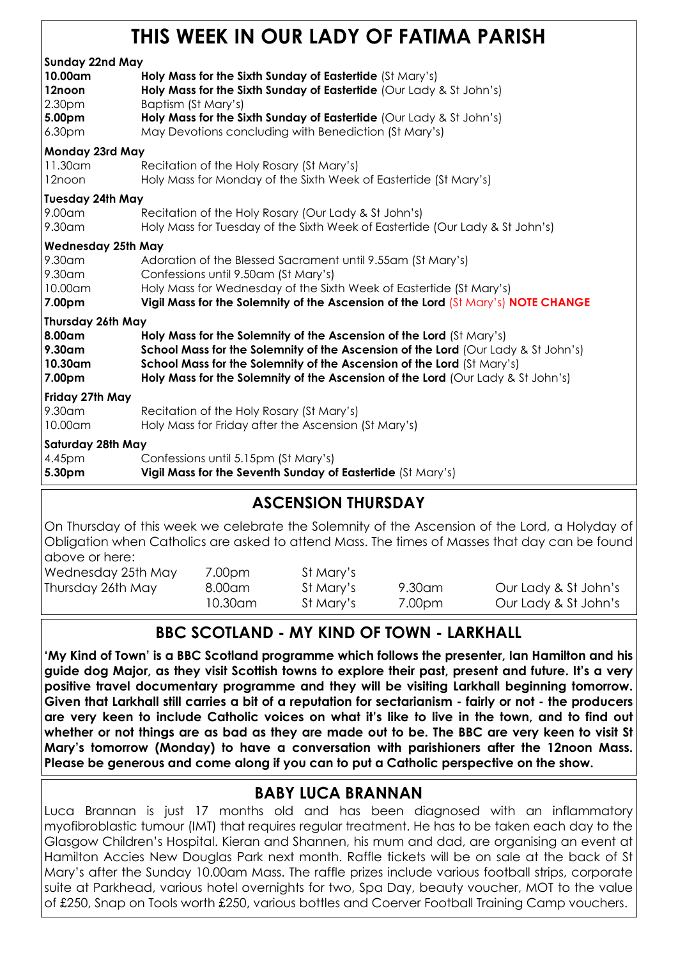# THIS WEEK IN OUR LADY OF FATIMA PARISH

| <b>Sunday 22nd May</b>    |                                                                                   |
|---------------------------|-----------------------------------------------------------------------------------|
| 10.00am                   | Holy Mass for the Sixth Sunday of Eastertide (St Mary's)                          |
| 12noon                    | Holy Mass for the Sixth Sunday of Eastertide (Our Lady & St John's)               |
| 2.30 <sub>pm</sub>        | Baptism (St Mary's)                                                               |
| 5.00pm                    | Holy Mass for the Sixth Sunday of Eastertide (Our Lady & St John's)               |
| 6.30 <sub>pm</sub>        | May Devotions concluding with Benediction (St Mary's)                             |
| Monday 23rd May           |                                                                                   |
| 11.30am                   | Recitation of the Holy Rosary (St Mary's)                                         |
| 12noon                    | Holy Mass for Monday of the Sixth Week of Eastertide (St Mary's)                  |
| <b>Tuesday 24th May</b>   |                                                                                   |
| 9.00am                    | Recitation of the Holy Rosary (Our Lady & St John's)                              |
| 9.30am                    | Holy Mass for Tuesday of the Sixth Week of Eastertide (Our Lady & St John's)      |
| <b>Wednesday 25th May</b> |                                                                                   |
| 9.30am                    | Adoration of the Blessed Sacrament until 9.55am (St Mary's)                       |
| 9.30am                    | Confessions until 9.50am (St Mary's)                                              |
| 10.00am                   | Holy Mass for Wednesday of the Sixth Week of Eastertide (St Mary's)               |
| 7.00pm                    | Vigil Mass for the Solemnity of the Ascension of the Lord (St Mary's) NOTE CHANGE |
| <b>Thursday 26th May</b>  |                                                                                   |
| 8.00am                    | Holy Mass for the Solemnity of the Ascension of the Lord (St Mary's)              |
| $9.30$ am                 | School Mass for the Solemnity of the Ascension of the Lord (Our Lady & St John's) |
| 10.30am                   | School Mass for the Solemnity of the Ascension of the Lord (St Mary's)            |
| 7.00pm                    | Holy Mass for the Solemnity of the Ascension of the Lord (Our Lady & St John's)   |
| Friday 27th May           |                                                                                   |
| 9.30am                    | Recitation of the Holy Rosary (St Mary's)                                         |
| 10.00am                   | Holy Mass for Friday after the Ascension (St Mary's)                              |
| Saturday 28th May         |                                                                                   |
| 4.45pm                    | Confessions until 5.15pm (St Mary's)                                              |
| 5.30pm                    | Vigil Mass for the Seventh Sunday of Eastertide (St Mary's)                       |

#### ASCENSION THURSDAY

On Thursday of this week we celebrate the Solemnity of the Ascension of the Lord, a Holyday of Obligation when Catholics are asked to attend Mass. The times of Masses that day can be found above or here:

Wednesday 25th May 7.00pm St Mary's Thursday 26th May 8.00am St Mary's 9.30am Our Lady & St John's

10.30am St Mary's 7.00pm Our Lady & St John's

## BBC SCOTLAND - MY KIND OF TOWN - LARKHALL

'My Kind of Town' is a BBC Scotland programme which follows the presenter, Ian Hamilton and his guide dog Major, as they visit Scottish towns to explore their past, present and future. It's a very positive travel documentary programme and they will be visiting Larkhall beginning tomorrow. Given that Larkhall still carries a bit of a reputation for sectarianism - fairly or not - the producers are very keen to include Catholic voices on what it's like to live in the town, and to find out whether or not things are as bad as they are made out to be. The BBC are very keen to visit St Mary's tomorrow (Monday) to have a conversation with parishioners after the 12noon Mass. Please be generous and come along if you can to put a Catholic perspective on the show.

#### BABY LUCA BRANNAN

Luca Brannan is just 17 months old and has been diagnosed with an inflammatory myofibroblastic tumour (IMT) that requires regular treatment. He has to be taken each day to the Glasgow Children's Hospital. Kieran and Shannen, his mum and dad, are organising an event at Hamilton Accies New Douglas Park next month. Raffle tickets will be on sale at the back of St Mary's after the Sunday 10.00am Mass. The raffle prizes include various football strips, corporate suite at Parkhead, various hotel overnights for two, Spa Day, beauty voucher, MOT to the value of £250, Snap on Tools worth £250, various bottles and Coerver Football Training Camp vouchers.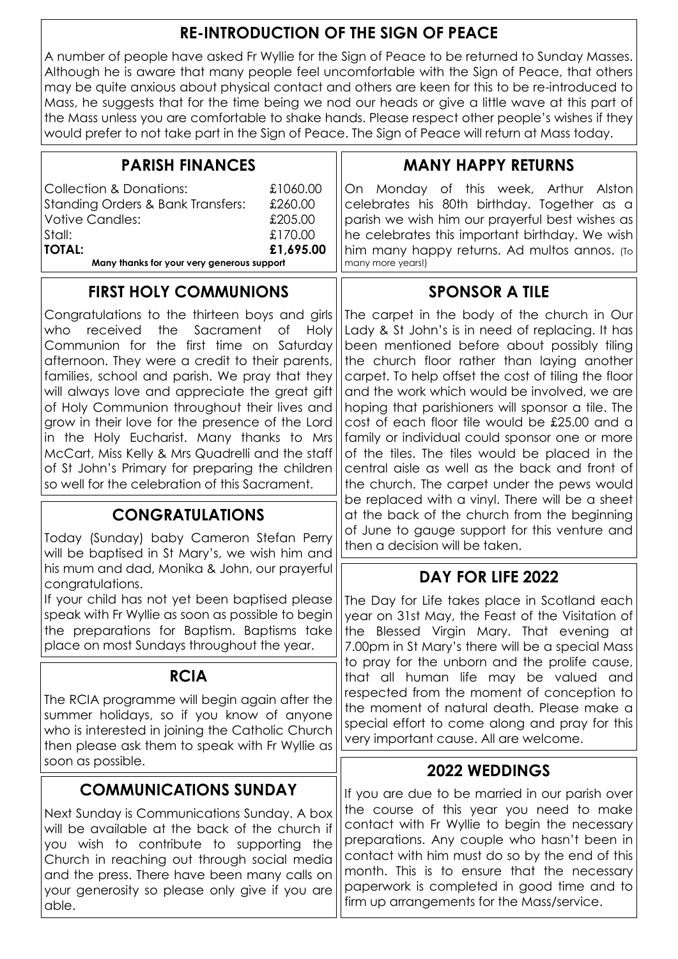#### RE-INTRODUCTION OF THE SIGN OF PEACE

A number of people have asked Fr Wyllie for the Sign of Peace to be returned to Sunday Masses. Although he is aware that many people feel uncomfortable with the Sign of Peace, that others may be quite anxious about physical contact and others are keen for this to be re-introduced to Mass, he suggests that for the time being we nod our heads or give a little wave at this part of the Mass unless you are comfortable to shake hands. Please respect other people's wishes if they would prefer to not take part in the Sign of Peace. The Sign of Peace will return at Mass today.

| <b>PARISH FINANCES</b>                                                                                                                                                                                                                                                                                                                                                                                                                                                                                                                                                                                  | <b>MANY HAPPY RETURNS</b>                                                                                                                                                                                                                                                                                                                                                                                                                                                                                                                                                                                                                                                                                                                                                                             |                                                                                                                                                                                                                                                                |
|---------------------------------------------------------------------------------------------------------------------------------------------------------------------------------------------------------------------------------------------------------------------------------------------------------------------------------------------------------------------------------------------------------------------------------------------------------------------------------------------------------------------------------------------------------------------------------------------------------|-------------------------------------------------------------------------------------------------------------------------------------------------------------------------------------------------------------------------------------------------------------------------------------------------------------------------------------------------------------------------------------------------------------------------------------------------------------------------------------------------------------------------------------------------------------------------------------------------------------------------------------------------------------------------------------------------------------------------------------------------------------------------------------------------------|----------------------------------------------------------------------------------------------------------------------------------------------------------------------------------------------------------------------------------------------------------------|
| <b>Collection &amp; Donations:</b><br><b>Standing Orders &amp; Bank Transfers:</b><br><b>Votive Candles:</b><br>Stall:<br><b>TOTAL:</b><br>Many thanks for your very generous support                                                                                                                                                                                                                                                                                                                                                                                                                   | £1060.00<br>£260.00<br>£205.00<br>£170.00<br>£1,695.00                                                                                                                                                                                                                                                                                                                                                                                                                                                                                                                                                                                                                                                                                                                                                | On Monday of this week, Arthur Alston<br>celebrates his 80th birthday. Together as a<br>parish we wish him our prayerful best wishes as<br>he celebrates this important birthday. We wish<br>him many happy returns. Ad multos annos. (To<br>many more years!) |
| <b>FIRST HOLY COMMUNIONS</b>                                                                                                                                                                                                                                                                                                                                                                                                                                                                                                                                                                            | <b>SPONSOR A TILE</b>                                                                                                                                                                                                                                                                                                                                                                                                                                                                                                                                                                                                                                                                                                                                                                                 |                                                                                                                                                                                                                                                                |
| Congratulations to the thirteen boys and girls<br>who<br>received<br>the<br>Sacrament<br>Оf<br>Communion for the first time on Saturday<br>afternoon. They were a credit to their parents,<br>families, school and parish. We pray that they<br>will always love and appreciate the great gift<br>of Holy Communion throughout their lives and<br>grow in their love for the presence of the Lord<br>in the Holy Eucharist. Many thanks to Mrs<br>McCart, Miss Kelly & Mrs Quadrelli and the staff<br>of St John's Primary for preparing the children<br>so well for the celebration of this Sacrament. | The carpet in the body of the church in Our<br>Lady & St John's is in need of replacing. It has<br>been mentioned before about possibly tiling<br>the church floor rather than laying another<br>carpet. To help offset the cost of tiling the floor<br>and the work which would be involved, we are<br>hoping that parishioners will sponsor a tile. The<br>cost of each floor tile would be £25.00 and a<br>family or individual could sponsor one or more<br>of the tiles. The tiles would be placed in the<br>central aisle as well as the back and front of<br>the church. The carpet under the pews would<br>be replaced with a vinyl. There will be a sheet<br>at the back of the church from the beginning<br>of June to gauge support for this venture and<br>then a decision will be taken. |                                                                                                                                                                                                                                                                |
| <b>CONGRATULATIONS</b><br>Today (Sunday) baby Cameron Stefan Perry                                                                                                                                                                                                                                                                                                                                                                                                                                                                                                                                      |                                                                                                                                                                                                                                                                                                                                                                                                                                                                                                                                                                                                                                                                                                                                                                                                       |                                                                                                                                                                                                                                                                |
| will be baptised in St Mary's, we wish him and<br>his mum and dad, Monika & John, our prayerful                                                                                                                                                                                                                                                                                                                                                                                                                                                                                                         | DAY FOR LIFE 2022                                                                                                                                                                                                                                                                                                                                                                                                                                                                                                                                                                                                                                                                                                                                                                                     |                                                                                                                                                                                                                                                                |
| congratulations.<br>If your child has not yet been baptised please<br>speak with Fr Wyllie as soon as possible to begin<br>the preparations for Baptism. Baptisms take<br>place on most Sundays throughout the year.                                                                                                                                                                                                                                                                                                                                                                                    | The Day for Life takes place in Scotland each<br>year on 31st May, the Feast of the Visitation of<br>the Blessed Virgin Mary. That evening at<br>7.00pm in St Mary's there will be a special Mass<br>to pray for the unborn and the prolife cause,<br>that all human life may be valued and                                                                                                                                                                                                                                                                                                                                                                                                                                                                                                           |                                                                                                                                                                                                                                                                |
| <b>RCIA</b>                                                                                                                                                                                                                                                                                                                                                                                                                                                                                                                                                                                             |                                                                                                                                                                                                                                                                                                                                                                                                                                                                                                                                                                                                                                                                                                                                                                                                       |                                                                                                                                                                                                                                                                |
| The RCIA programme will begin again after the<br>summer holidays, so if you know of anyone<br>who is interested in joining the Catholic Church<br>then please ask them to speak with Fr Wyllie as                                                                                                                                                                                                                                                                                                                                                                                                       | respected from the moment of conception to<br>the moment of natural death. Please make a<br>special effort to come along and pray for this<br>very important cause. All are welcome.                                                                                                                                                                                                                                                                                                                                                                                                                                                                                                                                                                                                                  |                                                                                                                                                                                                                                                                |
| soon as possible.                                                                                                                                                                                                                                                                                                                                                                                                                                                                                                                                                                                       |                                                                                                                                                                                                                                                                                                                                                                                                                                                                                                                                                                                                                                                                                                                                                                                                       | <b>2022 WEDDINGS</b>                                                                                                                                                                                                                                           |
| <b>COMMUNICATIONS SUNDAY</b><br>Next Sunday is Communications Sunday. A box<br>will be available at the back of the church if<br>you wish to contribute to supporting the<br>Church in reaching out through social media<br>and the press. There have been many calls on<br>your generosity so please only give if you are                                                                                                                                                                                                                                                                              | If you are due to be married in our parish over<br>the course of this year you need to make<br>contact with Fr Wyllie to begin the necessary<br>preparations. Any couple who hasn't been in<br>contact with him must do so by the end of this<br>month. This is to ensure that the necessary<br>paperwork is completed in good time and to                                                                                                                                                                                                                                                                                                                                                                                                                                                            |                                                                                                                                                                                                                                                                |

 $\mathbf{I}$